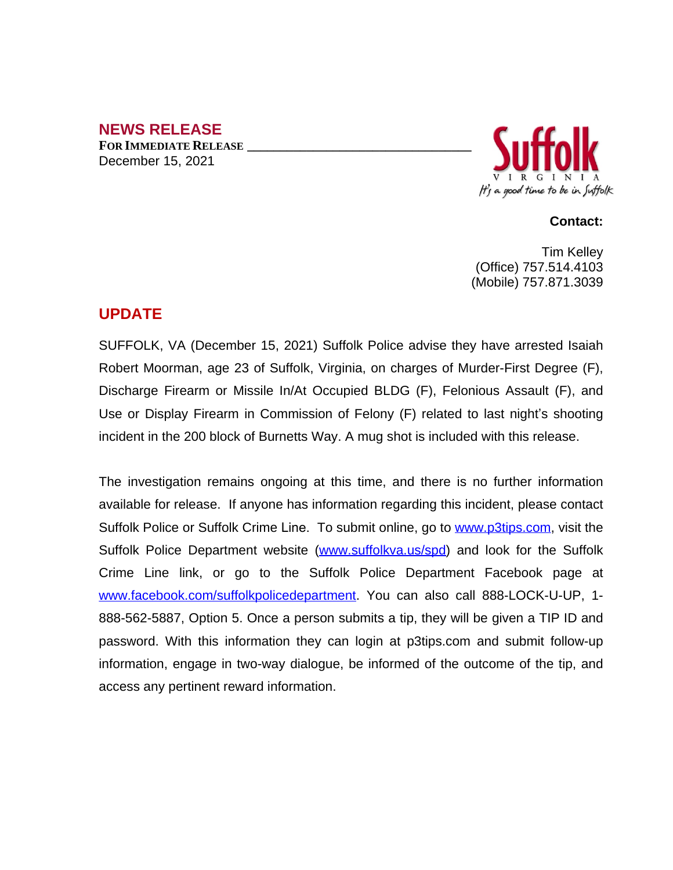### **NEWS RELEASE**

**FOR IMMEDIATE RELEASE \_\_\_\_\_\_\_\_\_\_\_\_\_\_\_\_\_\_\_\_\_\_\_\_\_\_\_\_\_\_\_\_\_\_** December 15, 2021



#### **Contact:**

Tim Kelley (Office) 757.514.4103 (Mobile) 757.871.3039

# **UPDATE**

SUFFOLK, VA (December 15, 2021) Suffolk Police advise they have arrested Isaiah Robert Moorman, age 23 of Suffolk, Virginia, on charges of Murder-First Degree (F), Discharge Firearm or Missile In/At Occupied BLDG (F), Felonious Assault (F), and Use or Display Firearm in Commission of Felony (F) related to last night's shooting incident in the 200 block of Burnetts Way. A mug shot is included with this release.

The investigation remains ongoing at this time, and there is no further information available for release. If anyone has information regarding this incident, please contact Suffolk Police or Suffolk Crime Line. To submit online, go to [www.p3tips.com](http://www.p3tips.com), visit the Suffolk Police Department website ([www.suffolkva.us/spd\)](http://www.suffolkva.us/spd) and look for the Suffolk Crime Line link, or go to the Suffolk Police Department Facebook page at [www.facebook.com/suffolkpolicedepartment](http://www.facebook.com/suffolkpolicedepartment). You can also call 888-LOCK-U-UP, 1-888-562-5887, Option 5. Once a person submits a tip, they will be given a TIP ID and password. With this information they can login at p3tips.com and submit follow-up information, engage in two-way dialogue, be informed of the outcome of the tip, and access any pertinent reward information.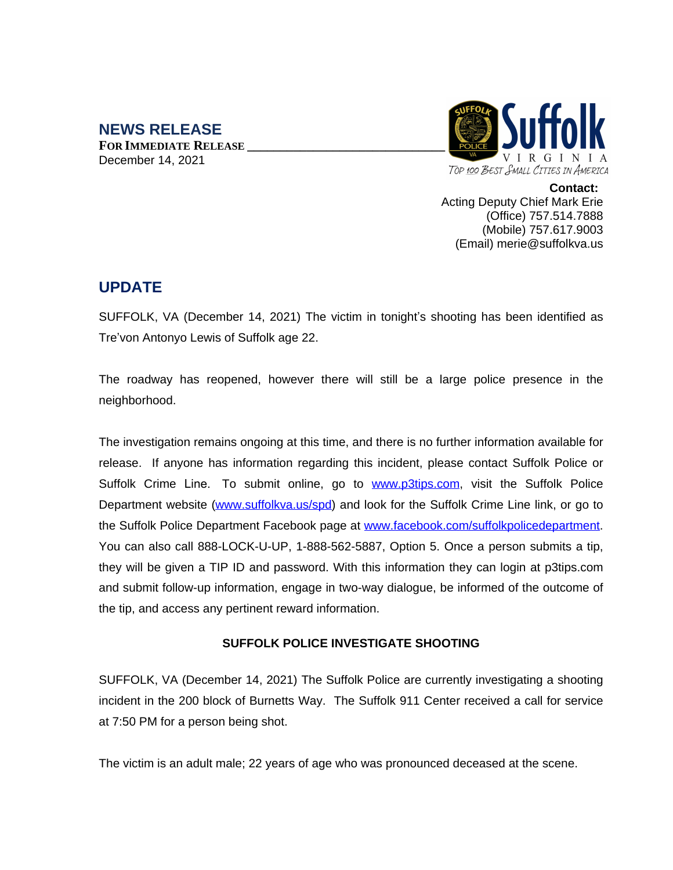#### **NEWS RELEASE FOR IMMEDIATE RELEASE \_\_\_\_\_\_\_\_\_\_\_\_\_\_\_\_\_\_\_\_\_\_\_\_\_\_\_\_\_\_** December 14, 2021



**Contact:** Acting Deputy Chief Mark Erie (Office) 757.514.7888 (Mobile) 757.617.9003 (Email) merie@suffolkva.us

# **UPDATE**

SUFFOLK, VA (December 14, 2021) The victim in tonight's shooting has been identified as Tre'von Antonyo Lewis of Suffolk age 22.

The roadway has reopened, however there will still be a large police presence in the neighborhood.

The investigation remains ongoing at this time, and there is no further information available for release. If anyone has information regarding this incident, please contact Suffolk Police or Suffolk Crime Line. To submit online, go to [www.p3tips.com](http://www.p3tips.com), visit the Suffolk Police Department website [\(www.suffolkva.us/spd\)](http://www.suffolkva.us/spd) and look for the Suffolk Crime Line link, or go to the Suffolk Police Department Facebook page at [www.facebook.com/suffolkpolicedepartment.](http://www.facebook.com/suffolkpolicedepartment) You can also call 888-LOCK-U-UP, 1-888-562-5887, Option 5. Once a person submits a tip, they will be given a TIP ID and password. With this information they can login at p3tips.com and submit follow-up information, engage in two-way dialogue, be informed of the outcome of the tip, and access any pertinent reward information.

### **SUFFOLK POLICE INVESTIGATE SHOOTING**

SUFFOLK, VA (December 14, 2021) The Suffolk Police are currently investigating a shooting incident in the 200 block of Burnetts Way. The Suffolk 911 Center received a call for service at 7:50 PM for a person being shot.

The victim is an adult male; 22 years of age who was pronounced deceased at the scene.